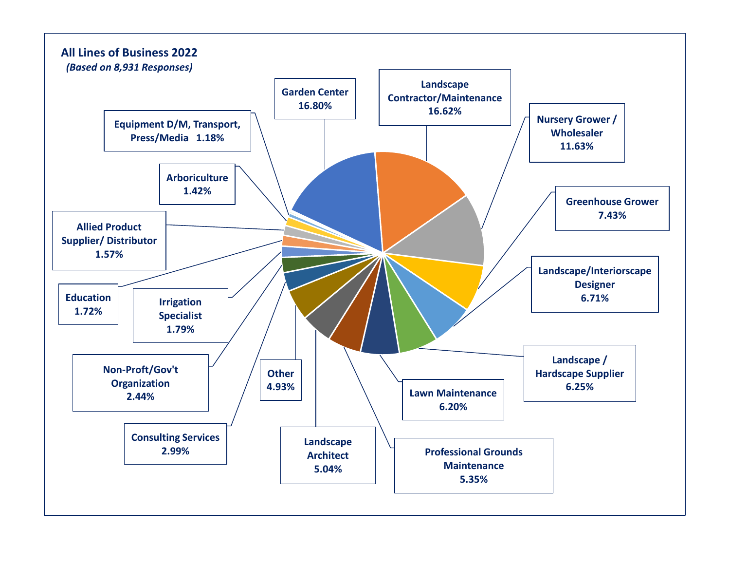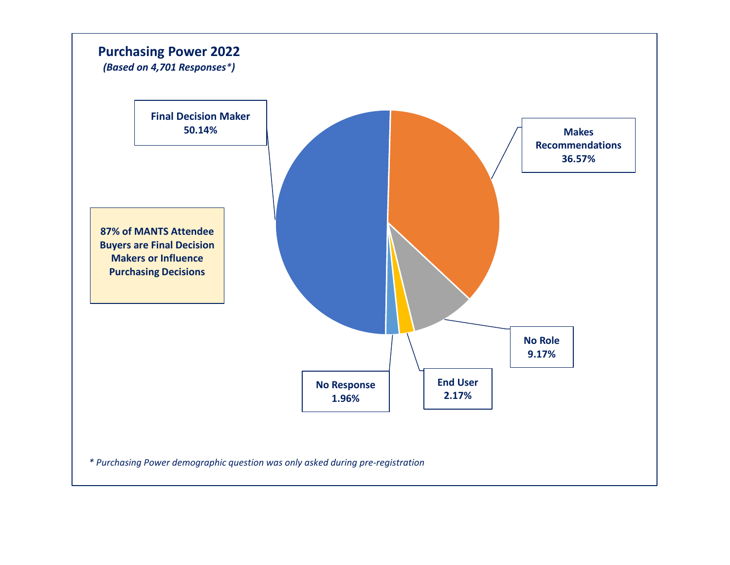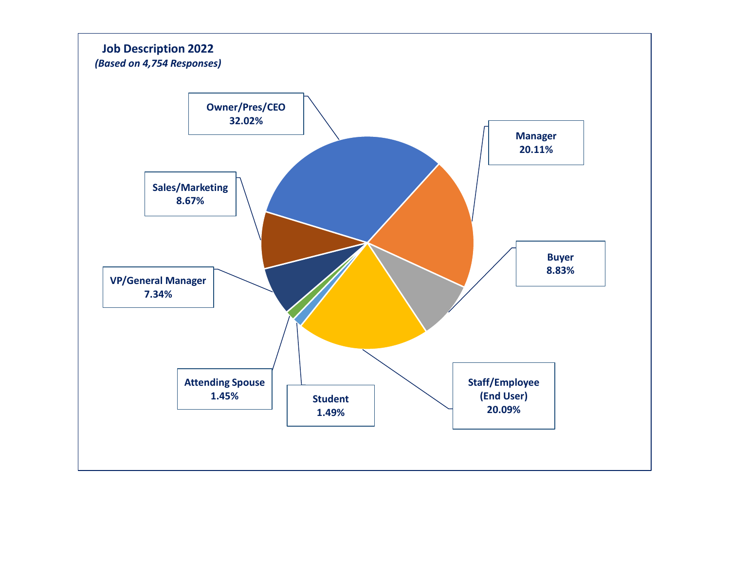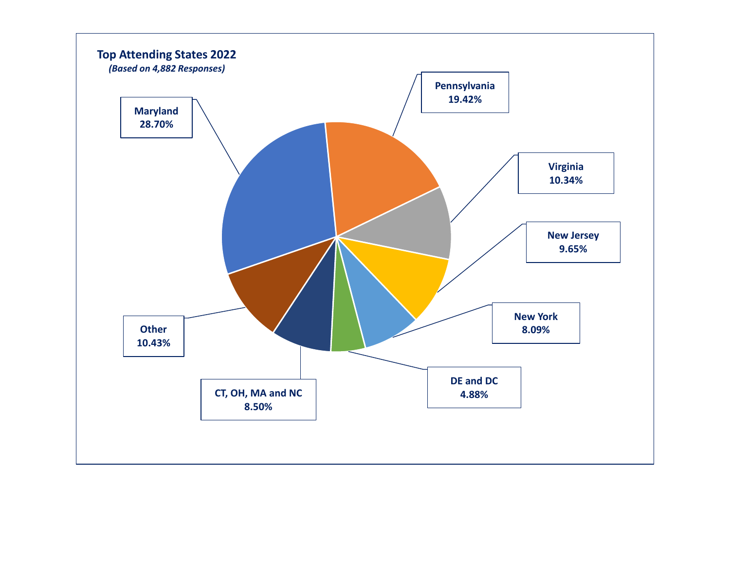